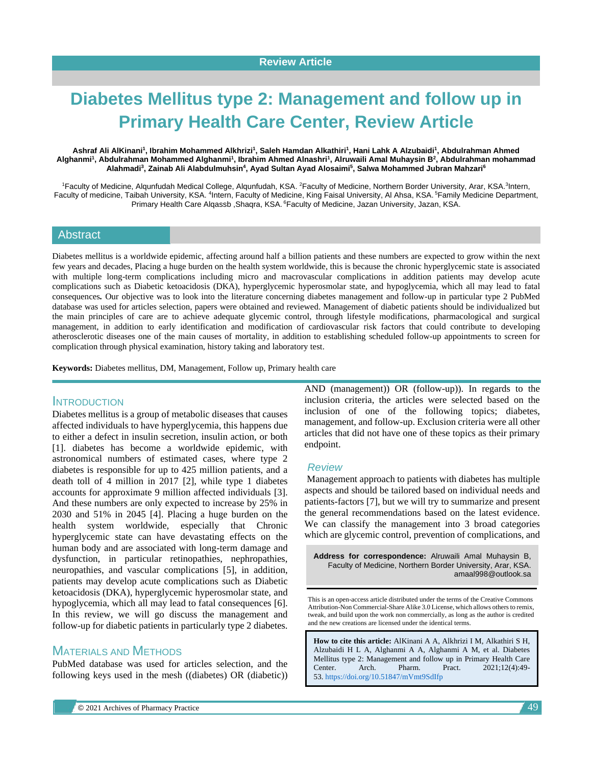# **Diabetes Mellitus type 2: Management and follow up in Primary Health Care Center, Review Article**

#### **Ashraf Ali AlKinani<sup>1</sup> , Ibrahim Mohammed Alkhrizi<sup>1</sup> , Saleh Hamdan Alkathiri<sup>1</sup> , Hani Lahk A Alzubaidi<sup>1</sup> , Abdulrahman Ahmed Alghanmi<sup>1</sup> , Abdulrahman Mohammed Alghanmi<sup>1</sup> , Ibrahim Ahmed Alnashri<sup>1</sup> , Alruwaili Amal Muhaysin B<sup>2</sup> , Abdulrahman mohammad Alahmadi<sup>3</sup> , Zainab Ali Alabdulmuhsin<sup>4</sup> , Ayad Sultan Ayad Alosaimi<sup>5</sup> , Salwa Mohammed Jubran Mahzari<sup>6</sup>**

<sup>1</sup>Faculty of Medicine, Alqunfudah Medical College, Alqunfudah, KSA. <sup>2</sup>Faculty of Medicine, Northern Border University, Arar, KSA.<sup>3</sup>Intern, Faculty of medicine, Taibah University, KSA. <sup>4</sup>Intern, Faculty of Medicine, King Faisal University, Al Ahsa, KSA. <sup>5</sup>Family Medicine Department, Primary Health Care Alqassb , Shaqra, KSA. <sup>6</sup> Faculty of Medicine, Jazan University, Jazan, KSA.

#### **Abstract**

Diabetes mellitus is a worldwide epidemic, affecting around half a billion patients and these numbers are expected to grow within the next few years and decades, Placing a huge burden on the health system worldwide, this is because the chronic hyperglycemic state is associated with multiple long-term complications including micro and macrovascular complications in addition patients may develop acute complications such as Diabetic ketoacidosis (DKA), hyperglycemic hyperosmolar state, and hypoglycemia, which all may lead to fatal consequences*.* Our objective was to look into the literature concerning diabetes management and follow-up in particular type 2 PubMed database was used for articles selection, papers were obtained and reviewed. Management of diabetic patients should be individualized but the main principles of care are to achieve adequate glycemic control, through lifestyle modifications, pharmacological and surgical management, in addition to early identification and modification of cardiovascular risk factors that could contribute to developing atherosclerotic diseases one of the main causes of mortality, in addition to establishing scheduled follow-up appointments to screen for complication through physical examination, history taking and laboratory test.

**Keywords:** Diabetes mellitus, DM, Management, Follow up, Primary health care

### INTRODUCTION

Diabetes mellitus is a group of metabolic diseases that causes affected individuals to have hyperglycemia, this happens due to either a defect in insulin secretion, insulin action, or both [1]. diabetes has become a worldwide epidemic, with astronomical numbers of estimated cases, where type 2 diabetes is responsible for up to 425 million patients, and a death toll of 4 million in 2017 [2], while type 1 diabetes accounts for approximate 9 million affected individuals [3]. And these numbers are only expected to increase by 25% in 2030 and 51% in 2045 [4]. Placing a huge burden on the health system worldwide, especially that Chronic hyperglycemic state can have devastating effects on the human body and are associated with long-term damage and dysfunction, in particular retinopathies, nephropathies, neuropathies, and vascular complications [5], in addition, patients may develop acute complications such as Diabetic ketoacidosis (DKA), hyperglycemic hyperosmolar state, and hypoglycemia, which all may lead to fatal consequences [6]. In this review, we will go discuss the management and follow-up for diabetic patients in particularly type 2 diabetes.

# MATERIALS AND METHODS

PubMed database was used for articles selection, and the following keys used in the mesh ((diabetes) OR (diabetic)) AND (management)) OR (follow-up)). In regards to the inclusion criteria, the articles were selected based on the inclusion of one of the following topics; diabetes, management, and follow-up. Exclusion criteria were all other articles that did not have one of these topics as their primary endpoint.

#### *Review*

Management approach to patients with diabetes has multiple aspects and should be tailored based on individual needs and patients-factors [7], but we will try to summarize and present the general recommendations based on the latest evidence. We can classify the management into 3 broad categories which are glycemic control, prevention of complications, and

**Address for correspondence:** Alruwaili Amal Muhaysin B, Faculty of Medicine, Northern Border University, Arar, KSA. amaal998@outlook.sa

This is an open-access article distributed under the terms of the Creative Commons Attribution-Non Commercial-Share Alike 3.0 License, which allows others to remix, tweak, and build upon the work non commercially, as long as the author is credited and the new creations are licensed under the identical terms.

**How to cite this article:** AlKinani A A, Alkhrizi I M, Alkathiri S H, Alzubaidi H L A, Alghanmi A A, Alghanmi A M, et al. Diabetes Mellitus type 2: Management and follow up in Primary Health Care Center. Arch. Pharm. Pract. 2021;12(4):49- 53. <https://doi.org/10.51847/mVmt9SdIfp>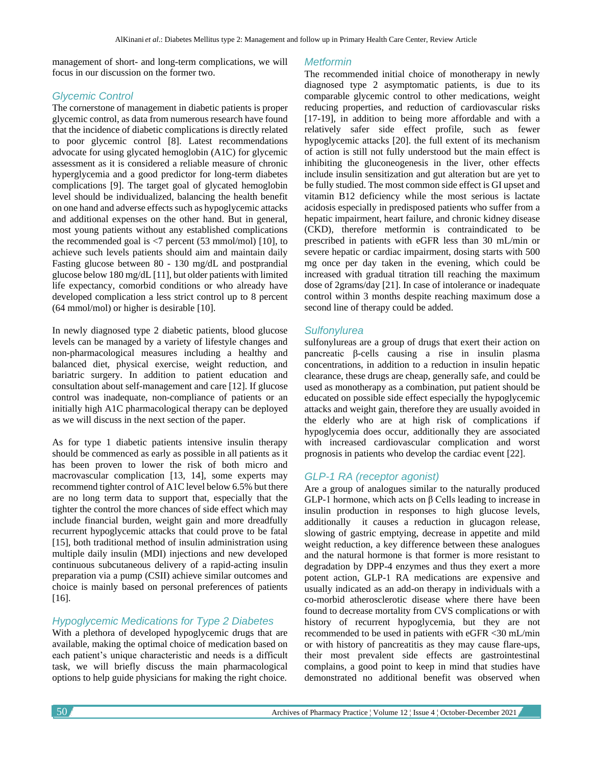management of short- and long-term complications, we will focus in our discussion on the former two.

#### *Glycemic Control*

The cornerstone of management in diabetic patients is proper glycemic control, as data from numerous research have found that the incidence of diabetic complications is directly related to poor glycemic control [8]. Latest recommendations advocate for using glycated hemoglobin (A1C) for glycemic assessment as it is considered a reliable measure of chronic hyperglycemia and a good predictor for long-term diabetes complications [9]. The target goal of glycated hemoglobin level should be individualized, balancing the health benefit on one hand and adverse effects such as hypoglycemic attacks and additional expenses on the other hand. But in general, most young patients without any established complications the recommended goal is  $\langle 7 \rangle$  percent (53 mmol/mol) [10], to achieve such levels patients should aim and maintain daily Fasting glucose between 80 - 130 mg/dL and postprandial glucose below 180 mg/dL [11], but older patients with limited life expectancy, comorbid conditions or who already have developed complication a less strict control up to 8 percent (64 mmol/mol) or higher is desirable [10].

In newly diagnosed type 2 diabetic patients, blood glucose levels can be managed by a variety of lifestyle changes and non-pharmacological measures including a healthy and balanced diet, physical exercise, weight reduction, and bariatric surgery. In addition to patient education and consultation about self-management and care [12]. If glucose control was inadequate, non-compliance of patients or an initially high A1C pharmacological therapy can be deployed as we will discuss in the next section of the paper.

As for type 1 diabetic patients intensive insulin therapy should be commenced as early as possible in all patients as it has been proven to lower the risk of both micro and macrovascular complication [13, 14], some experts may recommend tighter control of A1C level below 6.5% but there are no long term data to support that, especially that the tighter the control the more chances of side effect which may include financial burden, weight gain and more dreadfully recurrent hypoglycemic attacks that could prove to be fatal [15], both traditional method of insulin administration using multiple daily insulin (MDI) injections and new developed continuous subcutaneous delivery of a rapid-acting insulin preparation via a pump (CSII) achieve similar outcomes and choice is mainly based on personal preferences of patients [16].

# *Hypoglycemic Medications for Type 2 Diabetes*

With a plethora of developed hypoglycemic drugs that are available, making the optimal choice of medication based on each patient's unique characteristic and needs is a difficult task, we will briefly discuss the main pharmacological options to help guide physicians for making the right choice.

#### *Metformin*

The recommended initial choice of monotherapy in newly diagnosed type 2 asymptomatic patients, is due to its comparable glycemic control to other medications, weight reducing properties, and reduction of cardiovascular risks [17-19], in addition to being more affordable and with a relatively safer side effect profile, such as fewer hypoglycemic attacks [20]. the full extent of its mechanism of action is still not fully understood but the main effect is inhibiting the gluconeogenesis in the liver, other effects include insulin sensitization and gut alteration but are yet to be fully studied. The most common side effect is GI upset and vitamin B12 deficiency while the most serious is lactate acidosis especially in predisposed patients who suffer from a hepatic impairment, heart failure, and chronic kidney disease (CKD), therefore metformin is contraindicated to be prescribed in patients with eGFR less than 30 mL/min or severe hepatic or cardiac impairment, dosing starts with 500 mg once per day taken in the evening, which could be increased with gradual titration till reaching the maximum dose of 2grams/day [21]. In case of intolerance or inadequate control within 3 months despite reaching maximum dose a second line of therapy could be added.

#### *Sulfonylurea*

sulfonylureas are a group of drugs that exert their action on pancreatic β-cells causing a rise in insulin plasma concentrations, in addition to a reduction in insulin hepatic clearance, these drugs are cheap, generally safe, and could be used as monotherapy as a combination, put patient should be educated on possible side effect especially the hypoglycemic attacks and weight gain, therefore they are usually avoided in the elderly who are at high risk of complications if hypoglycemia does occur, additionally they are associated with increased cardiovascular complication and worst prognosis in patients who develop the cardiac event [22].

# *GLP-1 RA (receptor agonist)*

Are a group of analogues similar to the naturally produced GLP-1 hormone, which acts on β Cells leading to increase in insulin production in responses to high glucose levels, additionally it causes a reduction in glucagon release, slowing of gastric emptying, decrease in appetite and mild weight reduction, a key difference between these analogues and the natural hormone is that former is more resistant to degradation by DPP-4 enzymes and thus they exert a more potent action, GLP-1 RA medications are expensive and usually indicated as an add-on therapy in individuals with a co-morbid atherosclerotic disease where there have been found to decrease mortality from CVS complications or with history of recurrent hypoglycemia, but they are not recommended to be used in patients with eGFR <30 mL/min or with history of pancreatitis as they may cause flare-ups, their most prevalent side effects are gastrointestinal complains, a good point to keep in mind that studies have demonstrated no additional benefit was observed when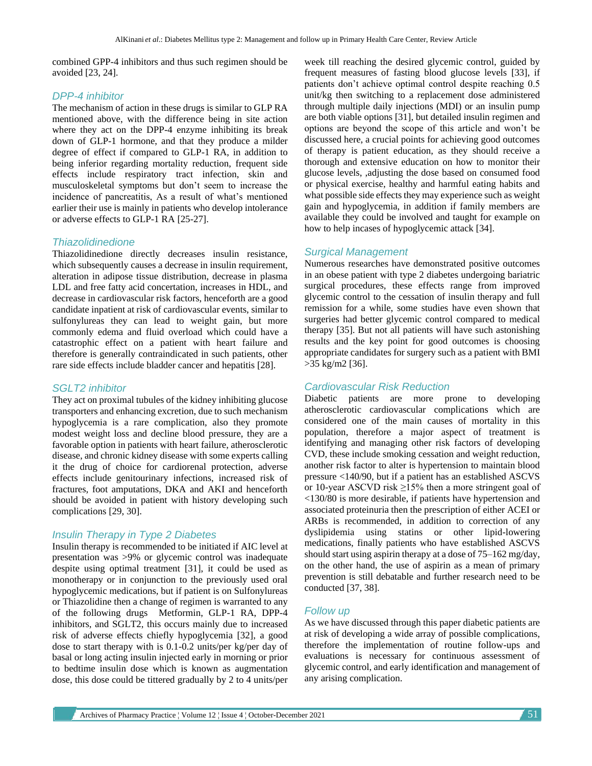combined GPP-4 inhibitors and thus such regimen should be avoided [23, 24].

#### *DPP-4 inhibitor*

The mechanism of action in these drugs is similar to GLP RA mentioned above, with the difference being in site action where they act on the DPP-4 enzyme inhibiting its break down of GLP-1 hormone, and that they produce a milder degree of effect if compared to GLP-1 RA, in addition to being inferior regarding mortality reduction, frequent side effects include respiratory tract infection, skin and musculoskeletal symptoms but don't seem to increase the incidence of pancreatitis, As a result of what's mentioned earlier their use is mainly in patients who develop intolerance or adverse effects to GLP-1 RA [25-27].

### *Thiazolidinedione*

Thiazolidinedione directly decreases insulin resistance, which subsequently causes a decrease in insulin requirement, alteration in adipose tissue distribution, decrease in plasma LDL and free fatty acid concertation, increases in HDL, and decrease in cardiovascular risk factors, henceforth are a good candidate inpatient at risk of cardiovascular events, similar to sulfonylureas they can lead to weight gain, but more commonly edema and fluid overload which could have a catastrophic effect on a patient with heart failure and therefore is generally contraindicated in such patients, other rare side effects include bladder cancer and hepatitis [28].

## *SGLT2 inhibitor*

They act on proximal tubules of the kidney inhibiting glucose transporters and enhancing excretion, due to such mechanism hypoglycemia is a rare complication, also they promote modest weight loss and decline blood pressure, they are a favorable option in patients with heart failure, atherosclerotic disease, and chronic kidney disease with some experts calling it the drug of choice for cardiorenal protection, adverse effects include genitourinary infections, increased risk of fractures, foot amputations, DKA and AKI and henceforth should be avoided in patient with history developing such complications [29, 30].

## *Insulin Therapy in Type 2 Diabetes*

Insulin therapy is recommended to be initiated if AIC level at presentation was >9% or glycemic control was inadequate despite using optimal treatment [31], it could be used as monotherapy or in conjunction to the previously used oral hypoglycemic medications, but if patient is on Sulfonylureas or Thiazolidine then a change of regimen is warranted to any of the following drugs Metformin, GLP-1 RA, DPP-4 inhibitors, and SGLT2, this occurs mainly due to increased risk of adverse effects chiefly hypoglycemia [32], a good dose to start therapy with is 0.1-0.2 units/per kg/per day of basal or long acting insulin injected early in morning or prior to bedtime insulin dose which is known as augmentation dose, this dose could be tittered gradually by 2 to 4 units/per week till reaching the desired glycemic control, guided by frequent measures of fasting blood glucose levels [33], if patients don't achieve optimal control despite reaching 0.5 unit/kg then switching to a replacement dose administered through multiple daily injections (MDI) or an insulin pump are both viable options [31], but detailed insulin regimen and options are beyond the scope of this article and won't be discussed here, a crucial points for achieving good outcomes of therapy is patient education, as they should receive a thorough and extensive education on how to monitor their glucose levels, ,adjusting the dose based on consumed food or physical exercise, healthy and harmful eating habits and what possible side effects they may experience such as weight gain and hypoglycemia, in addition if family members are available they could be involved and taught for example on how to help incases of hypoglycemic attack [34].

## *Surgical Management*

Numerous researches have demonstrated positive outcomes in an obese patient with type 2 diabetes undergoing bariatric surgical procedures, these effects range from improved glycemic control to the cessation of insulin therapy and full remission for a while, some studies have even shown that surgeries had better glycemic control compared to medical therapy [35]. But not all patients will have such astonishing results and the key point for good outcomes is choosing appropriate candidates for surgery such as a patient with BMI >35 kg/m2 [36].

## *Cardiovascular Risk Reduction*

Diabetic patients are more prone to developing atherosclerotic cardiovascular complications which are considered one of the main causes of mortality in this population, therefore a major aspect of treatment is identifying and managing other risk factors of developing CVD, these include smoking cessation and weight reduction, another risk factor to alter is hypertension to maintain blood pressure <140/90, but if a patient has an established ASCVS or 10-year ASCVD risk  $\geq$ 15% then a more stringent goal of <130/80 is more desirable, if patients have hypertension and associated proteinuria then the prescription of either ACEI or ARBs is recommended, in addition to correction of any dyslipidemia using statins or other lipid-lowering medications, finally patients who have established ASCVS should start using aspirin therapy at a dose of 75–162 mg/day, on the other hand, the use of aspirin as a mean of primary prevention is still debatable and further research need to be conducted [37, 38].

#### *Follow up*

As we have discussed through this paper diabetic patients are at risk of developing a wide array of possible complications, therefore the implementation of routine follow-ups and evaluations is necessary for continuous assessment of glycemic control, and early identification and management of any arising complication.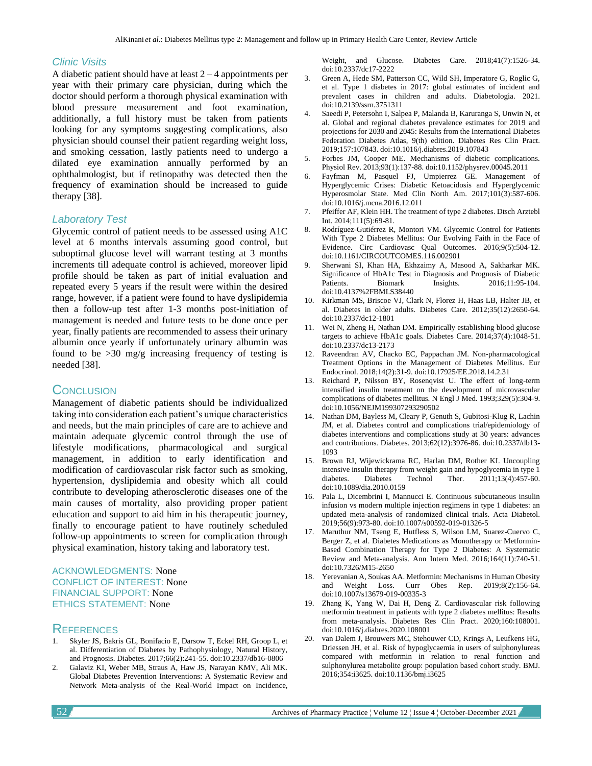#### *Clinic Visits*

A diabetic patient should have at least  $2 - 4$  appointments per year with their primary care physician, during which the doctor should perform a thorough physical examination with blood pressure measurement and foot examination, additionally, a full history must be taken from patients looking for any symptoms suggesting complications, also physician should counsel their patient regarding weight loss, and smoking cessation, lastly patients need to undergo a dilated eye examination annually performed by an ophthalmologist, but if retinopathy was detected then the frequency of examination should be increased to guide therapy [38].

#### *Laboratory Test*

Glycemic control of patient needs to be assessed using A1C level at 6 months intervals assuming good control, but suboptimal glucose level will warrant testing at 3 months increments till adequate control is achieved, moreover lipid profile should be taken as part of initial evaluation and repeated every 5 years if the result were within the desired range, however, if a patient were found to have dyslipidemia then a follow-up test after 1-3 months post-initiation of management is needed and future tests to be done once per year, finally patients are recommended to assess their urinary albumin once yearly if unfortunately urinary albumin was found to be >30 mg/g increasing frequency of testing is needed [38].

# **CONCLUSION**

Management of diabetic patients should be individualized taking into consideration each patient's unique characteristics and needs, but the main principles of care are to achieve and maintain adequate glycemic control through the use of lifestyle modifications, pharmacological and surgical management, in addition to early identification and modification of cardiovascular risk factor such as smoking, hypertension, dyslipidemia and obesity which all could contribute to developing atherosclerotic diseases one of the main causes of mortality, also providing proper patient education and support to aid him in his therapeutic journey, finally to encourage patient to have routinely scheduled follow-up appointments to screen for complication through physical examination, history taking and laboratory test.

#### ACKNOWLEDGMENTS: None CONFLICT OF INTEREST: None FINANCIAL SUPPORT: None ETHICS STATEMENT: None

# **REFERENCES**

- 1. Skyler JS, Bakris GL, Bonifacio E, Darsow T, Eckel RH, Groop L, et al. Differentiation of Diabetes by Pathophysiology, Natural History, and Prognosis. Diabetes. 2017;66(2):241-55. doi:10.2337/db16-0806
- 2. Galaviz KI, Weber MB, Straus A, Haw JS, Narayan KMV, Ali MK. Global Diabetes Prevention Interventions: A Systematic Review and Network Meta-analysis of the Real-World Impact on Incidence,

Weight, and Glucose. Diabetes Care. 2018;41(7):1526-34. doi:10.2337/dc17-2222

- 3. Green A, Hede SM, Patterson CC, Wild SH, Imperatore G, Roglic G, et al. Type 1 diabetes in 2017: global estimates of incident and prevalent cases in children and adults. Diabetologia. 2021. doi:10.2139/ssrn.3751311
- 4. Saeedi P, Petersohn I, Salpea P, Malanda B, Karuranga S, Unwin N, et al. Global and regional diabetes prevalence estimates for 2019 and projections for 2030 and 2045: Results from the International Diabetes Federation Diabetes Atlas, 9(th) edition. Diabetes Res Clin Pract. 2019;157:107843. doi:10.1016/j.diabres.2019.107843
- 5. Forbes JM, Cooper ME. Mechanisms of diabetic complications. Physiol Rev. 2013;93(1):137-88. doi:10.1152/physrev.00045.2011
- 6. Fayfman M, Pasquel FJ, Umpierrez GE. Management of Hyperglycemic Crises: Diabetic Ketoacidosis and Hyperglycemic Hyperosmolar State. Med Clin North Am. 2017;101(3):587-606. doi:10.1016/j.mcna.2016.12.011
- 7. Pfeiffer AF, Klein HH. The treatment of type 2 diabetes. Dtsch Arztebl Int. 2014;111(5):69-81.
- 8. Rodríguez-Gutiérrez R, Montori VM. Glycemic Control for Patients With Type 2 Diabetes Mellitus: Our Evolving Faith in the Face of Evidence. Circ Cardiovasc Qual Outcomes. 2016;9(5):504-12. doi:10.1161/CIRCOUTCOMES.116.002901
- 9. Sherwani SI, Khan HA, Ekhzaimy A, Masood A, Sakharkar MK. Significance of HbA1c Test in Diagnosis and Prognosis of Diabetic Patients. Biomark Insights. 2016;11:95-104. doi:10.4137%2FBMI.S38440
- 10. Kirkman MS, Briscoe VJ, Clark N, Florez H, Haas LB, Halter JB, et al. Diabetes in older adults. Diabetes Care. 2012;35(12):2650-64. doi:10.2337/dc12-1801
- 11. Wei N, Zheng H, Nathan DM. Empirically establishing blood glucose targets to achieve HbA1c goals. Diabetes Care. 2014;37(4):1048-51. doi:10.2337/dc13-2173
- 12. Raveendran AV, Chacko EC, Pappachan JM. Non-pharmacological Treatment Options in the Management of Diabetes Mellitus. Eur Endocrinol. 2018;14(2):31-9. doi:10.17925/EE.2018.14.2.31
- 13. Reichard P, Nilsson BY, Rosenqvist U. The effect of long-term intensified insulin treatment on the development of microvascular complications of diabetes mellitus. N Engl J Med. 1993;329(5):304-9. doi:10.1056/NEJM199307293290502
- 14. Nathan DM, Bayless M, Cleary P, Genuth S, Gubitosi-Klug R, Lachin JM, et al. Diabetes control and complications trial/epidemiology of diabetes interventions and complications study at 30 years: advances and contributions. Diabetes. 2013;62(12):3976-86. doi:10.2337/db13- 1093
- 15. Brown RJ, Wijewickrama RC, Harlan DM, Rother KI. Uncoupling intensive insulin therapy from weight gain and hypoglycemia in type 1 diabetes. Diabetes Technol Ther. 2011;13(4):457-60. doi:10.1089/dia.2010.0159
- 16. Pala L, Dicembrini I, Mannucci E. Continuous subcutaneous insulin infusion vs modern multiple injection regimens in type 1 diabetes: an updated meta-analysis of randomized clinical trials. Acta Diabetol. 2019;56(9):973-80. doi:10.1007/s00592-019-01326-5
- 17. Maruthur NM, Tseng E, Hutfless S, Wilson LM, Suarez-Cuervo C, Berger Z, et al. Diabetes Medications as Monotherapy or Metformin-Based Combination Therapy for Type 2 Diabetes: A Systematic Review and Meta-analysis. Ann Intern Med. 2016;164(11):740-51. doi:10.7326/M15-2650
- 18. Yerevanian A, Soukas AA. Metformin: Mechanisms in Human Obesity and Weight Loss. Curr Obes Rep. 2019;8(2):156-64. doi:10.1007/s13679-019-00335-3
- 19. Zhang K, Yang W, Dai H, Deng Z. Cardiovascular risk following metformin treatment in patients with type 2 diabetes mellitus: Results from meta-analysis. Diabetes Res Clin Pract. 2020;160:108001. doi:10.1016/j.diabres.2020.108001
- 20. van Dalem J, Brouwers MC, Stehouwer CD, Krings A, Leufkens HG, Driessen JH, et al. Risk of hypoglycaemia in users of sulphonylureas compared with metformin in relation to renal function and sulphonylurea metabolite group: population based cohort study. BMJ. 2016;354:i3625. doi:10.1136/bmj.i3625